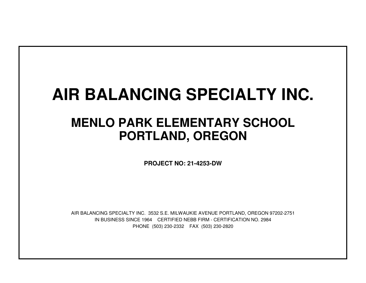# **AIR BALANCING SPECIALTY INC.**

## **MENLO PARK ELEMENTARY SCHOOLPORTLAND, OREGON**

**PROJECT NO: 21-4253-DW**

IN BUSINESS SINCE 1964 CERTIFIED NEBB FIRM - CERTIFICATION NO. 2984PHONE (503) 230-2332 FAX (503) 230-2820AIR BALANCING SPECIALTY INC. 3532 S.E. MILWAUKIE AVENUE PORTLAND, OREGON 97202-2751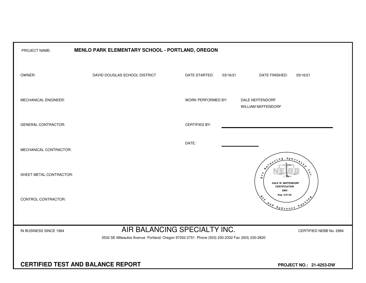| MENLO PARK ELEMENTARY SCHOOL - PORTLAND, OREGON<br>PROJECT NAME:                                                                                                                  |                               |                      |                                                                                                                                                                                                                                                                                                                                                                                                    |  |  |  |  |  |  |  |  |  |  |
|-----------------------------------------------------------------------------------------------------------------------------------------------------------------------------------|-------------------------------|----------------------|----------------------------------------------------------------------------------------------------------------------------------------------------------------------------------------------------------------------------------------------------------------------------------------------------------------------------------------------------------------------------------------------------|--|--|--|--|--|--|--|--|--|--|
| OWNER:                                                                                                                                                                            | DAVID DOUGLAS SCHOOL DISTRICT | DATE STARTED:        | 03/16/21<br>DATE FINISHED:<br>03/16/21                                                                                                                                                                                                                                                                                                                                                             |  |  |  |  |  |  |  |  |  |  |
| MECHANICAL ENGINEER:                                                                                                                                                              |                               | WORK PERFORMED BY:   | DALE NEFFENDORF<br><b>WILLIAM NEFFENDORF</b>                                                                                                                                                                                                                                                                                                                                                       |  |  |  |  |  |  |  |  |  |  |
| <b>GENERAL CONTRACTOR:</b>                                                                                                                                                        |                               | <b>CERTIFIED BY:</b> |                                                                                                                                                                                                                                                                                                                                                                                                    |  |  |  |  |  |  |  |  |  |  |
| MECHANICAL CONTRACTOR:                                                                                                                                                            |                               | DATE:                | $S_{PQ}$                                                                                                                                                                                                                                                                                                                                                                                           |  |  |  |  |  |  |  |  |  |  |
| SHEET METAL CONTRACTOR:                                                                                                                                                           |                               |                      | $\ddot{A}$<br><b>DALE W. NEFFENDORF</b><br><b>CERTIFICATION</b>                                                                                                                                                                                                                                                                                                                                    |  |  |  |  |  |  |  |  |  |  |
| CONTROL CONTRACTOR:                                                                                                                                                               |                               |                      | 2984<br>Exp. 3/31/22<br>$x^2$<br>$\begin{picture}(180,170) \put(0,0){\vector(1,0){100}} \put(15,0){\vector(1,0){100}} \put(15,0){\vector(1,0){100}} \put(15,0){\vector(1,0){100}} \put(15,0){\vector(1,0){100}} \put(15,0){\vector(1,0){100}} \put(15,0){\vector(1,0){100}} \put(15,0){\vector(1,0){100}} \put(15,0){\vector(1,0){100}} \put(15,0){\vector(1,0){100}} \put(15,0){\vector(1,0){100$ |  |  |  |  |  |  |  |  |  |  |
| AIR BALANCING SPECIALTY INC.<br>IN BUSINESS SINCE 1964<br>CERTIFIED NEBB No. 2984<br>3532 SE Milwaukie Avenue Portland, Oregon 97202-2751 Phone (503) 230-2332 Fax (503) 230-2820 |                               |                      |                                                                                                                                                                                                                                                                                                                                                                                                    |  |  |  |  |  |  |  |  |  |  |
| <b>CERTIFIED TEST AND BALANCE REPORT</b>                                                                                                                                          | PROJECT NO.: 21-4253-DW       |                      |                                                                                                                                                                                                                                                                                                                                                                                                    |  |  |  |  |  |  |  |  |  |  |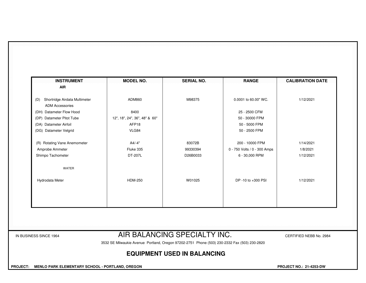| <b>INSTRUMENT</b><br><b>AIR</b>      | <b>MODEL NO.</b>              | <b>SERIAL NO.</b> | <b>RANGE</b>                 | <b>CALIBRATION DATE</b> |
|--------------------------------------|-------------------------------|-------------------|------------------------------|-------------------------|
|                                      |                               |                   |                              |                         |
| Shortridge Airdata Multimeter<br>(D) | ADM860                        | M98375            | 0.0001 to 60.00" WC.         | 1/12/2021               |
| <b>ADM Accessories</b>               |                               |                   |                              |                         |
| (DH) Datameter Flow Hood             | 8400                          |                   | 25 - 2500 CFM                |                         |
| (DP) Datameter Pitot Tube            | 12", 18", 24", 36", 48" & 60" |                   | 50 - 30000 FPM               |                         |
| (DA) Datameter Airfoil               | AFP18                         |                   | 50 - 5000 FPM                |                         |
| (DG) Datameter Velgrid               | VLG84                         |                   | 50 - 2500 FPM                |                         |
| (R) Rotating Vane Anemometer         | A4/-4"                        | 83072B            | 200 - 10000 FPM              | 1/14/2021               |
| Amprobe Ammeter                      | Fluke 335                     | 99330394          | 0 - 750 Volts / 0 - 300 Amps | 1/8/2021                |
| Shimpo Tachometer                    | DT-207L                       | D26B0033          | 6 - 30,000 RPM               | 1/12/2021               |
| <b>WATER</b>                         |                               |                   |                              |                         |
| Hydrodata Meter                      | <b>HDM-250</b>                | W01025            | DP -10 to +300 PSI           | 1/12/2021               |
|                                      |                               |                   |                              |                         |
|                                      |                               |                   |                              |                         |
|                                      |                               |                   |                              |                         |
|                                      |                               |                   |                              |                         |
|                                      |                               |                   |                              |                         |

#### IN BUSINESS SINCE 1964 **AIR BALANCING SPECIAL I Y INC.** CERTIFIED NEBB No. 2984

3532 SE Milwaukie Avenue Portland, Oregon 97202-2751 Phone (503) 230-2332 Fax (503) 230-2820

### **EQUIPMENT USED IN BALANCING**

 **PROJECT: MENLO PARK ELEMENTARY SCHOOL - PORTLAND, OREGON PROJECT NO.: 21-4253-DW**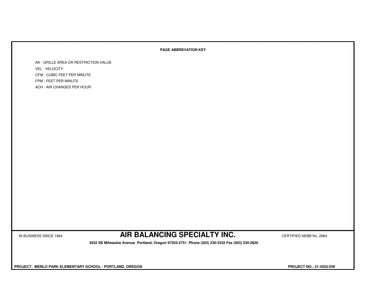#### **PAGE ABBREVATION KEY**

AK - GRILLE AREA OR RESTRICTION VALUEVEL - VELOCITY CFM - CUBIC FEET PER MINUTEFPM - FEET PER MINUTEACH - AIR CHANGES PER HOUR

IN BUSINESS SINCE 1964 **AIR BALANCING SPECIALTY INC.** CERTIFIED NEBB No. 2984

 **3532 SE Milwaukie Avenue Portland, Oregon 97202-2751 Phone (503) 230-2332 Fax (503) 230-2820**

 **PROJECT: MENLO PARK ELEMENTARY SCHOOL - PORTLAND, OREGON PROJECT NO.: 21-4253-DW**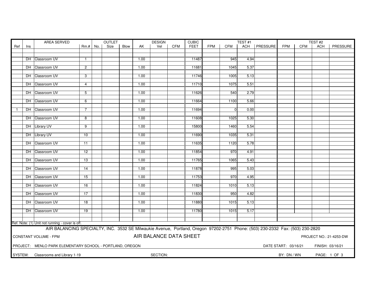|     |                                                                       | <b>AREA SERVED</b>                                                                                                            | <b>OUTLET</b>   |  |      |      |      | <b>DESIGN</b>          |            | <b>CUBIC</b> |            |                | TEST <sub>#1</sub> |                |                      |            | TEST#2           |                         |
|-----|-----------------------------------------------------------------------|-------------------------------------------------------------------------------------------------------------------------------|-----------------|--|------|------|------|------------------------|------------|--------------|------------|----------------|--------------------|----------------|----------------------|------------|------------------|-------------------------|
| Ref | Ins                                                                   |                                                                                                                               | $Rm.+$ No.      |  | Size | Blow | AK   | Vel                    | <b>CFM</b> | <b>FEET</b>  | <b>FPM</b> | <b>CFM</b>     |                    | ACH   PRESSURE | <b>FPM</b>           | <b>CFM</b> | <b>ACH</b>       | PRESSURE                |
|     |                                                                       |                                                                                                                               |                 |  |      |      |      |                        |            |              |            |                |                    |                |                      |            |                  |                         |
|     |                                                                       | DH Classroom UV                                                                                                               | $\mathbf{1}$    |  |      |      | 1.00 |                        |            | 11487        |            | 945            | 4.94               |                |                      |            |                  |                         |
|     |                                                                       |                                                                                                                               |                 |  |      |      |      |                        |            |              |            |                |                    |                |                      |            |                  |                         |
|     |                                                                       | DH Classroom UV                                                                                                               | $\overline{2}$  |  |      |      | 1.00 |                        |            | 11681        |            | 1045           | 5.37               |                |                      |            |                  |                         |
|     |                                                                       |                                                                                                                               |                 |  |      |      |      |                        |            |              |            |                |                    |                |                      |            |                  |                         |
|     |                                                                       | DH Classroom UV                                                                                                               | 3               |  |      |      | 1.00 |                        |            | 11746        |            | 1005           | 5.13               |                |                      |            |                  |                         |
|     |                                                                       |                                                                                                                               |                 |  |      |      |      |                        |            |              |            |                |                    |                |                      |            |                  |                         |
|     |                                                                       | DH Classroom UV                                                                                                               | 4               |  |      |      | 1.00 |                        |            | 11710        |            | 1075           | 5.51               |                |                      |            |                  |                         |
|     |                                                                       |                                                                                                                               |                 |  |      |      |      |                        |            |              |            |                |                    |                |                      |            |                  |                         |
|     |                                                                       | DH Classroom UV                                                                                                               | $\overline{5}$  |  |      |      | 1.00 |                        |            | 11626        |            | 540            | 2.79               |                |                      |            |                  |                         |
|     |                                                                       | DH Classroom UV                                                                                                               | 6               |  |      |      | 1.00 |                        |            | 11664        |            | 1100           | 5.66               |                |                      |            |                  |                         |
|     |                                                                       |                                                                                                                               |                 |  |      |      |      |                        |            |              |            |                |                    |                |                      |            |                  |                         |
|     |                                                                       | DH Classroom UV                                                                                                               | $\overline{7}$  |  |      |      | 1.00 |                        |            | 11694        |            | $\overline{0}$ | 0.00               |                |                      |            |                  |                         |
|     |                                                                       |                                                                                                                               |                 |  |      |      |      |                        |            |              |            |                |                    |                |                      |            |                  |                         |
|     |                                                                       | DH Classroom UV                                                                                                               | 8               |  |      |      | 1.00 |                        |            | 11608        |            | 1025           | 5.30               |                |                      |            |                  |                         |
|     |                                                                       |                                                                                                                               |                 |  |      |      |      |                        |            |              |            |                |                    |                |                      |            |                  |                         |
|     |                                                                       | DH Library UV                                                                                                                 | 9               |  |      |      | 1.00 |                        |            | 15800        |            | 1460           | 5.54               |                |                      |            |                  |                         |
|     |                                                                       |                                                                                                                               |                 |  |      |      |      |                        |            |              |            |                |                    |                |                      |            |                  |                         |
|     |                                                                       | DH Library UV                                                                                                                 | 10              |  |      |      | 1.00 |                        |            | 11690        |            | 1035           | 5.31               |                |                      |            |                  |                         |
|     |                                                                       | DH Classroom UV                                                                                                               | 11              |  |      |      | 1.00 |                        |            | 11635        |            | 1120           | 5.78               |                |                      |            |                  |                         |
|     |                                                                       |                                                                                                                               |                 |  |      |      |      |                        |            |              |            |                |                    |                |                      |            |                  |                         |
|     |                                                                       | DH Classroom UV                                                                                                               | $\overline{12}$ |  |      |      | 1.00 |                        |            | 11854        |            | 970            | 4.91               |                |                      |            |                  |                         |
|     |                                                                       |                                                                                                                               |                 |  |      |      |      |                        |            |              |            |                |                    |                |                      |            |                  |                         |
|     |                                                                       | DH Classroom UV                                                                                                               | 13              |  |      |      | 1.00 |                        |            | 11765        |            | 1065           | 5.43               |                |                      |            |                  |                         |
|     |                                                                       |                                                                                                                               |                 |  |      |      |      |                        |            |              |            |                |                    |                |                      |            |                  |                         |
|     |                                                                       | DH Classroom UV                                                                                                               | $\overline{14}$ |  |      |      | 1.00 |                        |            | 11878        |            | 995            | 5.03               |                |                      |            |                  |                         |
|     |                                                                       |                                                                                                                               |                 |  |      |      |      |                        |            |              |            |                |                    |                |                      |            |                  |                         |
|     |                                                                       | DH Classroom UV                                                                                                               | 15              |  |      |      | 1.00 |                        |            | 11753        |            | 970            | 4.95               |                |                      |            |                  |                         |
|     |                                                                       | DH Classroom UV                                                                                                               | 16              |  |      |      | 1.00 |                        |            | 11824        |            | 1010           | 5.13               |                |                      |            |                  |                         |
|     |                                                                       |                                                                                                                               |                 |  |      |      |      |                        |            |              |            |                |                    |                |                      |            |                  |                         |
|     |                                                                       | DH Classroom UV                                                                                                               | $\overline{17}$ |  |      |      | 1.00 |                        |            | 11830        |            | 950            | 4.82               |                |                      |            |                  |                         |
|     |                                                                       |                                                                                                                               |                 |  |      |      |      |                        |            |              |            |                |                    |                |                      |            |                  |                         |
|     |                                                                       | DH Classroom UV                                                                                                               | 18              |  |      |      | 1.00 |                        |            | 11880        |            | 1015           | 5.13               |                |                      |            |                  |                         |
|     |                                                                       |                                                                                                                               |                 |  |      |      |      |                        |            |              |            |                |                    |                |                      |            |                  |                         |
|     |                                                                       | DH Classroom UV                                                                                                               | $\overline{19}$ |  |      |      | 1.00 |                        |            | 11780        |            | 1015           | 5.17               |                |                      |            |                  |                         |
|     |                                                                       |                                                                                                                               |                 |  |      |      |      |                        |            |              |            |                |                    |                |                      |            |                  |                         |
|     |                                                                       | Ref. Note: (1) Unit not running - cover is off.                                                                               |                 |  |      |      |      |                        |            |              |            |                |                    |                |                      |            |                  |                         |
|     |                                                                       |                                                                                                                               |                 |  |      |      |      |                        |            |              |            |                |                    |                |                      |            |                  |                         |
|     |                                                                       | AIR BALANCING SPECIALTY, INC. 3532 SE Milwaukie Avenue, Portland, Oregon 97202-2751 Phone: (503) 230-2332 Fax: (503) 230-2820 |                 |  |      |      |      |                        |            |              |            |                |                    |                |                      |            |                  |                         |
|     |                                                                       | <b>CONSTANT VOLUME - FPM</b>                                                                                                  |                 |  |      |      |      | AIR BALANCE DATA SHEET |            |              |            |                |                    |                |                      |            |                  | PROJECT NO.: 21-4253-DW |
|     |                                                                       |                                                                                                                               |                 |  |      |      |      |                        |            |              |            |                |                    |                |                      |            |                  |                         |
|     |                                                                       | PROJECT: MENLO PARK ELEMENTARY SCHOOL - PORTLAND, OREGON                                                                      |                 |  |      |      |      |                        |            |              |            |                |                    |                | DATE START: 03/16/21 |            | FINISH: 03/16/21 |                         |
|     |                                                                       |                                                                                                                               |                 |  |      |      |      |                        |            |              |            |                |                    |                |                      |            |                  |                         |
|     |                                                                       |                                                                                                                               |                 |  |      |      |      | SECTION:               |            |              |            |                |                    |                |                      |            |                  |                         |
|     | SYSTEM:<br>BY: DN / WN<br>PAGE: 1 OF 3<br>Classrooms and Library 1-19 |                                                                                                                               |                 |  |      |      |      |                        |            |              |            |                |                    |                |                      |            |                  |                         |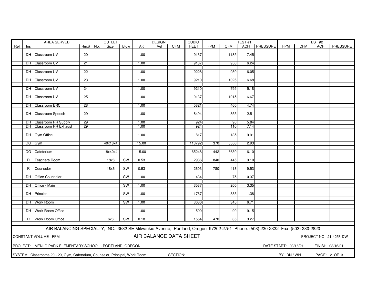|     |              | AREA SERVED                                                                                                                   | <b>OUTLET</b>   |  |         |           |       | <b>DESIGN</b>          |            | <b>CUBIC</b> |     |                 | TEST#1 |                |                      |     | TEST#2           |                         |
|-----|--------------|-------------------------------------------------------------------------------------------------------------------------------|-----------------|--|---------|-----------|-------|------------------------|------------|--------------|-----|-----------------|--------|----------------|----------------------|-----|------------------|-------------------------|
| Ref | Ins          |                                                                                                                               | $Rm.+$ No.      |  | Size    | Blow      | AK    | Vel                    | <b>CFM</b> | <b>FEET</b>  | FPM | <b>CFM</b>      |        | ACH   PRESSURE | <b>FPM</b>           | CFM | ACH              | PRESSURE                |
|     |              |                                                                                                                               |                 |  |         |           |       |                        |            |              |     |                 |        |                |                      |     |                  |                         |
|     |              | DH Classroom UV                                                                                                               | $\overline{20}$ |  |         |           | 1.00  |                        |            | 9137         |     | 1135            | 7.45   |                |                      |     |                  |                         |
|     |              | DH Classroom UV                                                                                                               | $\overline{21}$ |  |         |           | 1.00  |                        |            | 9137         |     | 950             | 6.24   |                |                      |     |                  |                         |
|     |              |                                                                                                                               |                 |  |         |           |       |                        |            |              |     |                 |        |                |                      |     |                  |                         |
|     |              | DH Classroom UV                                                                                                               | $\overline{22}$ |  |         |           | 1.00  |                        |            | 9228         |     | 930             | 6.05   |                |                      |     |                  |                         |
|     |              |                                                                                                                               |                 |  |         |           |       |                        |            |              |     |                 |        |                |                      |     |                  |                         |
|     |              | DH Classroom UV                                                                                                               | 23              |  |         |           | 1.00  |                        |            | 9210         |     | 1025            | 6.68   |                |                      |     |                  |                         |
|     |              |                                                                                                                               |                 |  |         |           |       |                        |            |              |     |                 |        |                |                      |     |                  |                         |
|     |              | DH Classroom UV                                                                                                               | 24              |  |         |           | 1.00  |                        |            | 9210         |     | 795             | 5.18   |                |                      |     |                  |                         |
|     |              | DH Classroom UV                                                                                                               | 25              |  |         |           | 1.00  |                        |            | 9137         |     | 1015            | 6.67   |                |                      |     |                  |                         |
|     |              |                                                                                                                               |                 |  |         |           |       |                        |            |              |     |                 |        |                |                      |     |                  |                         |
|     |              | DH Classroom ERC                                                                                                              | $\overline{28}$ |  |         |           | 1.00  |                        |            | 5821         |     | 460             | 4.74   |                |                      |     |                  |                         |
|     |              |                                                                                                                               |                 |  |         |           |       |                        |            |              |     |                 |        |                |                      |     |                  |                         |
|     |              | DH Classroom Speech                                                                                                           | $\overline{29}$ |  |         |           | 1.00  |                        |            | 8494         |     | 355             | 2.51   |                |                      |     |                  |                         |
|     |              |                                                                                                                               |                 |  |         |           |       |                        |            |              |     |                 |        |                |                      |     |                  |                         |
|     |              | DH Classroom RR Supply                                                                                                        | $\overline{29}$ |  |         |           | 1.00  |                        |            | 924          |     | $\overline{90}$ | 5.84   |                |                      |     |                  |                         |
|     |              | DH Classroom RR Exhaust                                                                                                       | $\overline{29}$ |  |         |           | 1.00  |                        |            | 924          |     | 110             | 7.14   |                |                      |     |                  |                         |
|     |              | DH Gym Office                                                                                                                 |                 |  |         |           | 1.00  |                        |            | 817          |     | 135             | 9.91   |                |                      |     |                  |                         |
|     |              |                                                                                                                               |                 |  |         |           |       |                        |            |              |     |                 |        |                |                      |     |                  |                         |
|     |              | DG Gym                                                                                                                        |                 |  | 40x18x4 |           | 15.00 |                        |            | 113792       | 370 | 5550            | 2.93   |                |                      |     |                  |                         |
|     |              |                                                                                                                               |                 |  |         |           |       |                        |            |              |     |                 |        |                |                      |     |                  |                         |
|     |              | DG Cafetorium                                                                                                                 |                 |  | 18x40x4 |           | 15.00 |                        |            | 65248        | 442 | 6630            | 6.10   |                |                      |     |                  |                         |
|     |              |                                                                                                                               |                 |  |         |           |       |                        |            |              |     |                 |        |                |                      |     |                  |                         |
|     | $\mathsf{R}$ | <b>Teachers Room</b>                                                                                                          |                 |  | 18x6    | <b>SW</b> | 0.53  |                        |            | 2936         | 840 | 445             | 9.10   |                |                      |     |                  |                         |
|     |              | R Counselor                                                                                                                   |                 |  | 18x6    | <b>SW</b> | 0.53  |                        |            | 2603         | 780 | 413             | 9.53   |                |                      |     |                  |                         |
|     |              |                                                                                                                               |                 |  |         |           |       |                        |            |              |     |                 |        |                |                      |     |                  |                         |
|     |              | DH Office Counselor                                                                                                           |                 |  |         | SW        | 1.00  |                        |            | 434          |     | 75              | 10.37  |                |                      |     |                  |                         |
|     |              |                                                                                                                               |                 |  |         |           |       |                        |            |              |     |                 |        |                |                      |     |                  |                         |
|     |              | DH Office - Main                                                                                                              |                 |  |         | <b>SW</b> | 1.00  |                        |            | 3587         |     | 200             | 3.35   |                |                      |     |                  |                         |
|     |              | DH Principal                                                                                                                  |                 |  |         | SW        | 1.00  |                        |            | 1767         |     | 335             | 11.38  |                |                      |     |                  |                         |
|     |              |                                                                                                                               |                 |  |         |           |       |                        |            |              |     |                 |        |                |                      |     |                  |                         |
|     |              | DH Work Room                                                                                                                  |                 |  |         | SW        | 1.00  |                        |            | 3086         |     | 345             | 6.71   |                |                      |     |                  |                         |
|     |              |                                                                                                                               |                 |  |         |           |       |                        |            |              |     |                 |        |                |                      |     |                  |                         |
|     |              | DH Work Room Office                                                                                                           |                 |  |         |           | 1.00  |                        |            | 590          |     | 90              | 9.15   |                |                      |     |                  |                         |
|     |              | Work Room Office                                                                                                              |                 |  |         |           |       |                        |            |              |     |                 |        |                |                      |     |                  |                         |
|     | R            |                                                                                                                               |                 |  | 6x6     | <b>SW</b> | 0.18  |                        |            | 1554         | 470 | 85              | 3.27   |                |                      |     |                  |                         |
|     |              | AIR BALANCING SPECIALTY, INC. 3532 SE Milwaukie Avenue, Portland, Oregon 97202-2751 Phone: (503) 230-2332 Fax: (503) 230-2820 |                 |  |         |           |       |                        |            |              |     |                 |        |                |                      |     |                  |                         |
|     |              |                                                                                                                               |                 |  |         |           |       |                        |            |              |     |                 |        |                |                      |     |                  |                         |
|     |              | CONSTANT VOLUME - FPM                                                                                                         |                 |  |         |           |       | AIR BALANCE DATA SHEET |            |              |     |                 |        |                |                      |     |                  | PROJECT NO.: 21-4253-DW |
|     |              |                                                                                                                               |                 |  |         |           |       |                        |            |              |     |                 |        |                |                      |     |                  |                         |
|     |              | PROJECT: MENLO PARK ELEMENTARY SCHOOL - PORTLAND, OREGON                                                                      |                 |  |         |           |       |                        |            |              |     |                 |        |                | DATE START: 03/16/21 |     | FINISH: 03/16/21 |                         |
|     |              |                                                                                                                               |                 |  |         |           |       |                        |            |              |     |                 |        |                |                      |     |                  |                         |
|     |              | SYSTEM: Classrooms 20 - 29, Gym, Cafetorium, Counselor, Principal, Work Room                                                  |                 |  |         |           |       |                        | SECTION:   |              |     |                 |        |                | BY: DN / WN          |     | PAGE: 2 OF 3     |                         |
|     |              |                                                                                                                               |                 |  |         |           |       |                        |            |              |     |                 |        |                |                      |     |                  |                         |